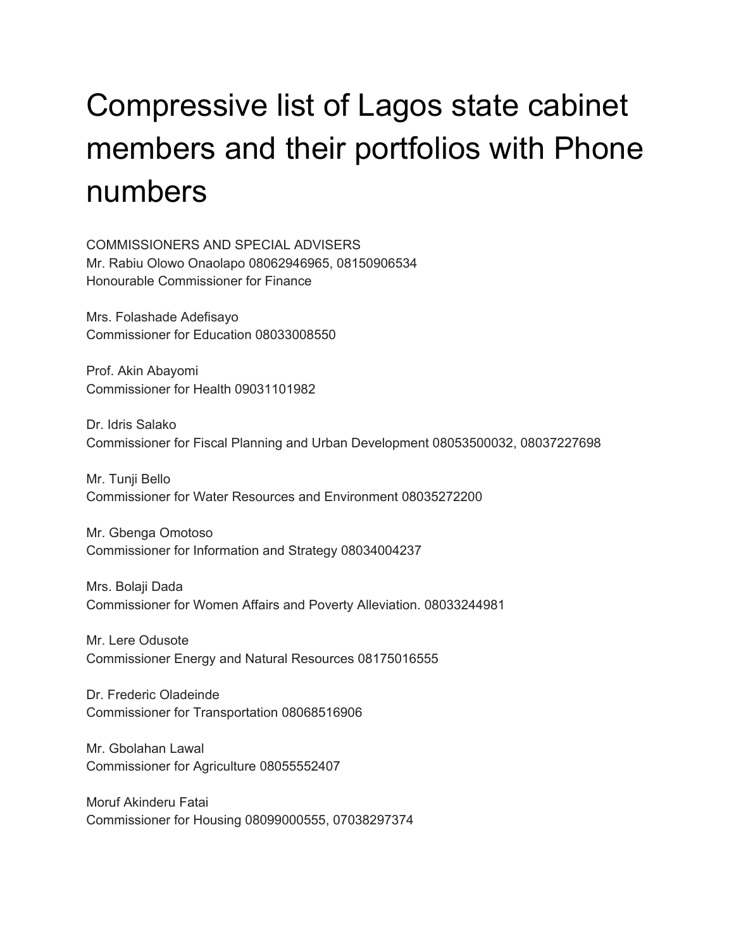## Compressive list of Lagos state cabinet members and their portfolios with Phone numbers

COMMISSIONERS AND SPECIAL ADVISERS Mr. Rabiu Olowo Onaolapo 08062946965, 08150906534 Honourable Commissioner for Finance

Mrs. Folashade Adefisayo Commissioner for Education 08033008550

Prof. Akin Abayomi Commissioner for Health 09031101982

Dr. Idris Salako Commissioner for Fiscal Planning and Urban Development 08053500032, 08037227698

Mr. Tunji Bello Commissioner for Water Resources and Environment 08035272200

Mr. Gbenga Omotoso Commissioner for Information and Strategy 08034004237

Mrs. Bolaji Dada Commissioner for Women Affairs and Poverty Alleviation. 08033244981

Mr. Lere Odusote Commissioner Energy and Natural Resources 08175016555

Dr. Frederic Oladeinde Commissioner for Transportation 08068516906

Mr. Gbolahan Lawal Commissioner for Agriculture 08055552407

Moruf Akinderu Fatai Commissioner for Housing 08099000555, 07038297374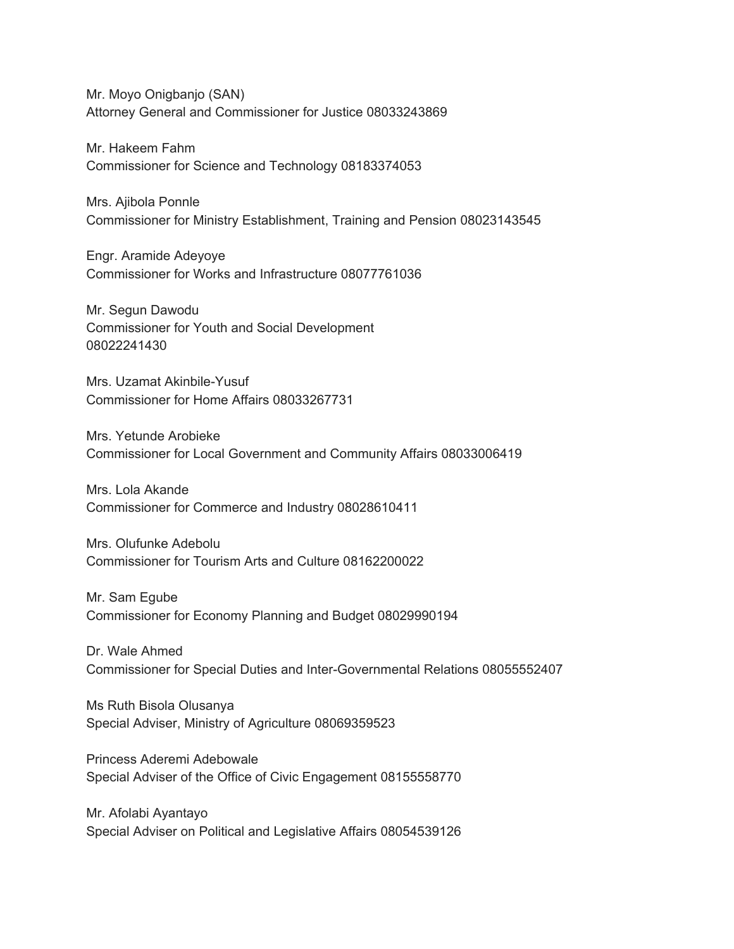Mr. Moyo Onigbanjo (SAN) Attorney General and Commissioner for Justice 08033243869

Mr. Hakeem Fahm Commissioner for Science and Technology 08183374053

Mrs. Ajibola Ponnle Commissioner for Ministry Establishment, Training and Pension 08023143545

Engr. Aramide Adeyoye Commissioner for Works and Infrastructure 08077761036

Mr. Segun Dawodu Commissioner for Youth and Social Development 08022241430

Mrs. Uzamat Akinbile-Yusuf Commissioner for Home Affairs 08033267731

Mrs. Yetunde Arobieke Commissioner for Local Government and Community Affairs 08033006419

Mrs. Lola Akande Commissioner for Commerce and Industry 08028610411

Mrs. Olufunke Adebolu Commissioner for Tourism Arts and Culture 08162200022

Mr. Sam Egube Commissioner for Economy Planning and Budget 08029990194

Dr. Wale Ahmed Commissioner for Special Duties and Inter-Governmental Relations 08055552407

Ms Ruth Bisola Olusanya Special Adviser, Ministry of Agriculture 08069359523

Princess Aderemi Adebowale Special Adviser of the Office of Civic Engagement 08155558770

Mr. Afolabi Ayantayo Special Adviser on Political and Legislative Affairs 08054539126